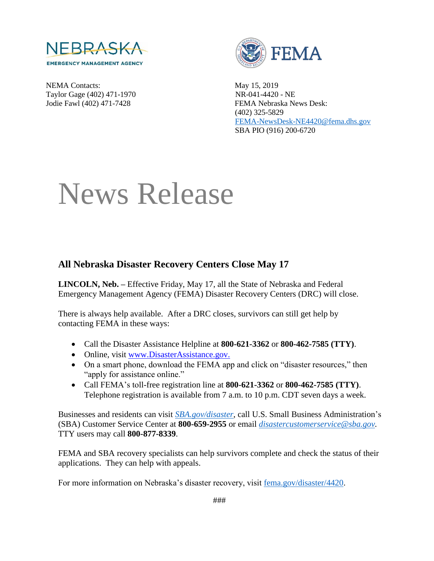

NEMA Contacts: May 15, 2019 Taylor Gage (402) 471-1970 NR-041-4420 - NE



Jodie Fawl (402) 471-7428 FEMA Nebraska News Desk: (402) 325-5829 [FEMA-NewsDesk-NE4420@fema.dhs.gov](mailto:FEMA-NewsDesk-NE4420@fema.dhs.gov) SBA PIO (916) 200-6720

## News Release

## **All Nebraska Disaster Recovery Centers Close May 17**

**LINCOLN, Neb. –** Effective Friday, May 17, all the State of Nebraska and Federal Emergency Management Agency (FEMA) Disaster Recovery Centers (DRC) will close.

There is always help available. After a DRC closes, survivors can still get help by contacting FEMA in these ways:

- Call the Disaster Assistance Helpline at **800-621-3362** or **800-462-7585 (TTY)**.
- Online, visit [www.DisasterAssistance.gov.](http://www.disasterassistance.gov/)
- On a smart phone, download the FEMA app and click on "disaster resources," then "apply for assistance online."
- Call FEMA's toll-free registration line at **800-621-3362** or **800-462-7585 (TTY)**. Telephone registration is available from 7 a.m. to 10 p.m. CDT seven days a week.

Businesses and residents can visit *[SBA.gov/disaster](http://www.sba.gov/disaster)*, call U.S. Small Business Administration's (SBA) Customer Service Center at **800-659-2955** or email *[disastercustomerservice@sba.gov.](mailto:disastercustomerservice@sba.gov)* TTY users may call **800-877-8339**.

FEMA and SBA recovery specialists can help survivors complete and check the status of their applications. They can help with appeals.

For more information on Nebraska's disaster recovery, visit [fema.gov/disaster/4420.](https://www.fema.gov/disaster/4420)